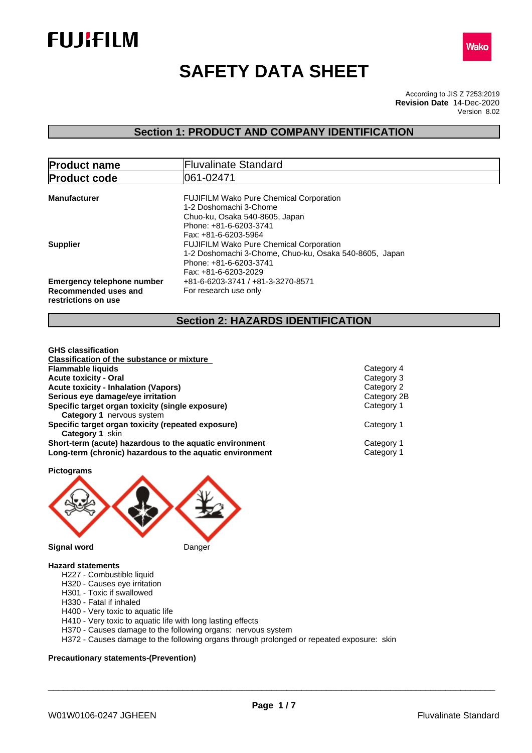



# **SAFETY DATA SHEET**

According to JIS Z 7253:2019 Version 8.02 **Revision Date** 14-Dec-2020

# **Section 1: PRODUCT AND COMPANY IDENTIFICATION**

| <b>Product name</b>                                       | <b>Fluvalinate Standard</b>                                                                                                        |
|-----------------------------------------------------------|------------------------------------------------------------------------------------------------------------------------------------|
| <b>Product code</b>                                       | 061-02471                                                                                                                          |
| <b>Manufacturer</b>                                       | <b>FUJIFILM Wako Pure Chemical Corporation</b><br>1-2 Doshomachi 3-Chome                                                           |
|                                                           | Chuo-ku, Osaka 540-8605, Japan<br>Phone: +81-6-6203-3741<br>Fax: +81-6-6203-5964                                                   |
| <b>Supplier</b>                                           | <b>FUJIFILM Wako Pure Chemical Corporation</b><br>1-2 Doshomachi 3-Chome, Chuo-ku, Osaka 540-8605, Japan<br>Phone: +81-6-6203-3741 |
| <b>Emergency telephone number</b><br>Recommended uses and | Fax: +81-6-6203-2029<br>+81-6-6203-3741 / +81-3-3270-8571<br>For research use only                                                 |
| restrictions on use                                       |                                                                                                                                    |

# **Section 2: HAZARDS IDENTIFICATION**

| Category 4  |
|-------------|
| Category 3  |
| Category 2  |
| Category 2B |
| Category 1  |
|             |
| Category 1  |
|             |
| Category 1  |
| Category 1  |
|             |

**Pictograms**



### **Hazard statements**

- H227 Combustible liquid
- H320 Causes eye irritation
- H301 Toxic if swallowed
- H330 Fatal if inhaled
- H400 Very toxic to aquatic life
- H410 Very toxic to aquatic life with long lasting effects
- H370 Causes damage to the following organs: nervous system
- H372 Causes damage to the following organs through prolonged or repeated exposure: skin

### **Precautionary statements-(Prevention)**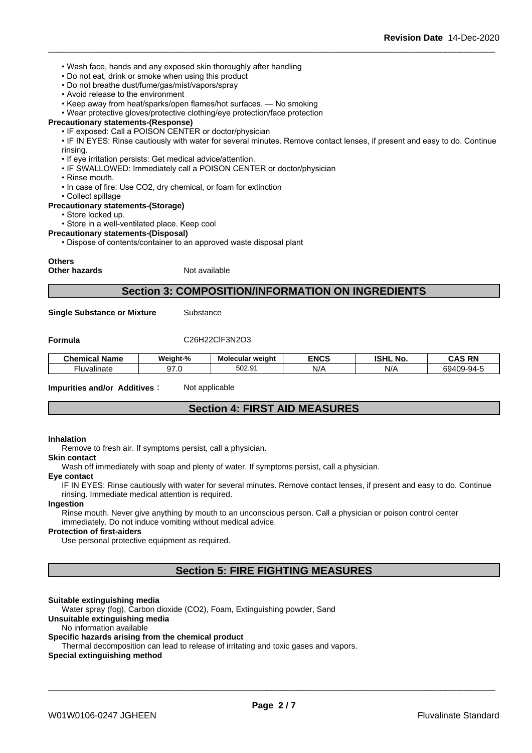- Wash face, hands and any exposed skin thoroughly after handling
- Do not eat, drink or smoke when using this product
- Do not breathe dust/fume/gas/mist/vapors/spray
- Avoid release to the environment
- Keep away from heat/sparks/open flames/hot surfaces. No smoking
- Wear protective gloves/protective clothing/eye protection/face protection
- **Precautionary statements-(Response)**
	- IF exposed: Call a POISON CENTER or doctor/physician

• IF IN EYES: Rinse cautiously with water for several minutes. Remove contact lenses, if present and easy to do. Continue rinsing.

- If eye irritation persists: Get medical advice/attention.
- IF SWALLOWED: Immediately call a POISON CENTER or doctor/physician
- Rinse mouth.
- In case of fire: Use CO2, dry chemical, or foam for extinction
- Collect spillage

### **Precautionary statements-(Storage)**

- Store locked up.
- Store in a well-ventilated place. Keep cool

#### **Precautionary statements-(Disposal)**

• Dispose of contents/container to an approved waste disposal plant

#### **Others**

**Other hazards** Not available

### **Section 3: COMPOSITION/INFORMATION ON INGREDIENTS**

**Single Substance or Mixture** Substance

### **Formula** C26H22ClF3N2O3

| .<br><b>Chemical Name</b> | Weight-%        | Molecular<br>" weiaht | <b>ENCS</b> | <b>ISHL</b><br>. No. | <b>CAS RN</b><br>unu<br>.                    |
|---------------------------|-----------------|-----------------------|-------------|----------------------|----------------------------------------------|
| <br>Huvalinate            | $\sim$ $-$<br>. | 01 ו<br>r oo<br>502.9 | NI/<br>N/   | $\Delta$<br>         | $\sim$ $\sim$ $\sim$<br>69409<br>--94-F<br>. |

#### **Impurities and/or Additives**: Not applicable

### **Section 4: FIRST AID MEASURES**

#### **Inhalation**

Remove to fresh air. If symptoms persist, call a physician.

#### **Skin contact**

Wash off immediately with soap and plenty of water. If symptoms persist, call a physician.

#### **Eye contact**

IF IN EYES: Rinse cautiously with water for several minutes. Remove contact lenses, if present and easy to do. Continue rinsing. Immediate medical attention is required.

### **Ingestion**

Rinse mouth. Never give anything by mouth to an unconscious person. Call a physician or poison control center immediately. Do not induce vomiting without medical advice.

### **Protection of first-aiders**

Use personal protective equipment as required.

### **Section 5: FIRE FIGHTING MEASURES**

#### **Suitable extinguishing media**

Water spray (fog), Carbon dioxide (CO2), Foam, Extinguishing powder, Sand

### **Unsuitable extinguishing media**

No information available

### **Specific hazards arising from the chemical product**

Thermal decomposition can lead to release of irritating and toxic gases and vapors.

### **Special extinguishing method**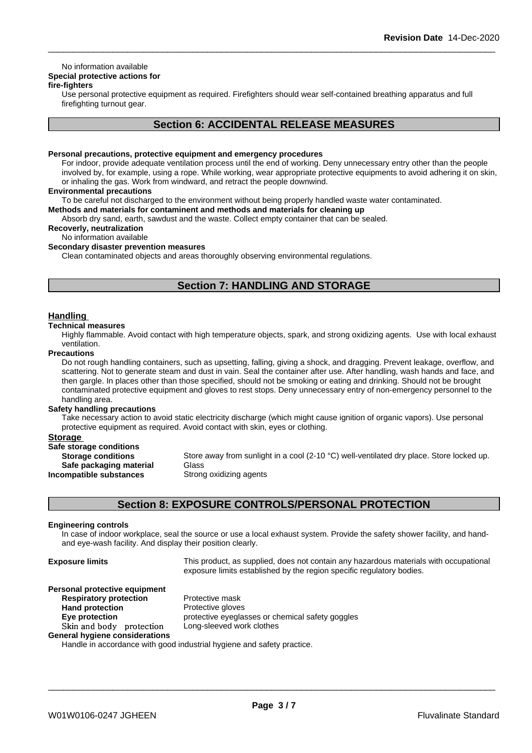### No information available

# **Special protective actions for**

### **fire-fighters**

Use personal protective equipment as required.Firefighters should wear self-contained breathing apparatus and full firefighting turnout gear.

### **Section 6: ACCIDENTAL RELEASE MEASURES**

### **Personal precautions, protective equipment and emergency procedures**

For indoor, provide adequate ventilation process until the end of working. Deny unnecessary entry other than the people involved by, for example, using a rope. While working, wear appropriate protective equipments to avoid adhering it on skin, or inhaling the gas. Work from windward, and retract the people downwind.

### **Environmental precautions**

To be careful not discharged to the environment without being properly handled waste water contaminated.

### **Methods and materials for contaminent and methods and materials for cleaning up**

Absorb dry sand, earth, sawdust and the waste. Collect empty container that can be sealed.

### **Recoverly, neutralization**

# No information available

# **Secondary disaster prevention measures**

Clean contaminated objects and areas thoroughly observing environmental regulations.

# **Section 7: HANDLING AND STORAGE**

### **Handling**

#### **Technical measures**

Highly flammable. Avoid contact with high temperature objects, spark, and strong oxidizing agents. Use with local exhaust ventilation.

#### **Precautions**

Do not rough handling containers, such as upsetting, falling, giving a shock, and dragging. Prevent leakage, overflow, and scattering. Not to generate steam and dust in vain. Seal the container after use. After handling, wash hands and face, and then gargle. In places other than those specified, should not be smoking or eating and drinking. Should not be brought contaminated protective equipment and gloves to rest stops. Deny unnecessary entry of non-emergency personnel to the handling area.

### **Safety handling precautions**

Take necessary action to avoid static electricity discharge (which might cause ignition of organic vapors). Use personal protective equipment as required. Avoid contact with skin, eyes or clothing.

### **Storage**

| Safe storage conditions   |             |
|---------------------------|-------------|
| <b>Storage conditions</b> | Store away  |
| Safe packaging material   | Glass       |
| Incompatible substances   | Strong oxid |

Store away from sunlight in a cool (2-10 °C) well-ventilated dry place. Store locked up. **Safe packaging material** Glass

**Strong oxidizing agents** 

### **Section 8: EXPOSURE CONTROLS/PERSONAL PROTECTION**

### **Engineering controls**

In case of indoor workplace, seal the source or use a local exhaust system. Provide the safety shower facility, and handand eye-wash facility. And display their position clearly.

| <b>Exposure limits</b> |  |
|------------------------|--|
|------------------------|--|

This product, as supplied, does not contain any hazardous materials with occupational exposure limits established by the region specific regulatory bodies.

\_\_\_\_\_\_\_\_\_\_\_\_\_\_\_\_\_\_\_\_\_\_\_\_\_\_\_\_\_\_\_\_\_\_\_\_\_\_\_\_\_\_\_\_\_\_\_\_\_\_\_\_\_\_\_\_\_\_\_\_\_\_\_\_\_\_\_\_\_\_\_\_\_\_\_\_\_\_\_\_\_\_\_\_\_\_\_\_\_\_

### **Personal protective equipment**

# **Respiratory protection** Protective mask **Hand protection** Protective gloves **Skinandbody protection** Long-sleeved work clothes **General hygiene considerations**

**Eye protection Eye protective eyeglasses or chemical safety goggles** 

Handle in accordance with good industrial hygiene and safety practice.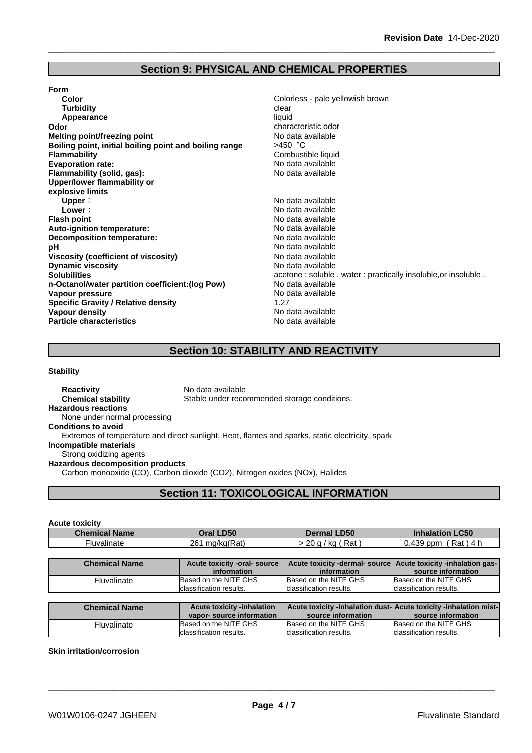# **Section 9: PHYSICAL AND CHEMICAL PROPERTIES**

| <b>Form</b>                                            |                                                                |
|--------------------------------------------------------|----------------------------------------------------------------|
| Color                                                  | Colorless - pale yellowish brown                               |
| <b>Turbidity</b>                                       | clear                                                          |
| Appearance                                             | liquid                                                         |
| Odor                                                   | characteristic odor                                            |
| <b>Melting point/freezing point</b>                    | No data available                                              |
| Boiling point, initial boiling point and boiling range | $>450$ °C                                                      |
| <b>Flammability</b>                                    | Combustible liquid                                             |
| <b>Evaporation rate:</b>                               | No data available                                              |
| Flammability (solid, gas):                             | No data available                                              |
| Upper/lower flammability or                            |                                                                |
| explosive limits                                       |                                                                |
| Upper:                                                 | No data available                                              |
| Lower:                                                 | No data available                                              |
| <b>Flash point</b>                                     | No data available                                              |
| Auto-ignition temperature:                             | No data available                                              |
| <b>Decomposition temperature:</b>                      | No data available                                              |
| рH                                                     | No data available                                              |
| Viscosity (coefficient of viscosity)                   | No data available                                              |
| <b>Dynamic viscosity</b>                               | No data available                                              |
| <b>Solubilities</b>                                    | acetone: soluble . water: practically insoluble, or insoluble. |
| n-Octanol/water partition coefficient: (log Pow)       | No data available                                              |
| Vapour pressure                                        | No data available                                              |
| <b>Specific Gravity / Relative density</b>             | 1.27                                                           |
| Vapour density                                         | No data available                                              |
| <b>Particle characteristics</b>                        | No data available                                              |
|                                                        |                                                                |

# **Section 10: STABILITY AND REACTIVITY**

**Stability**

**Reactivity** No data available **Chemical stability** Stable under recommended storage conditions. **Hazardous reactions** None under normal processing **Conditions to avoid** Extremes of temperature and direct sunlight, Heat, flames and sparks, static electricity, spark **Incompatible materials** Strong oxidizing agents **Hazardous decomposition products** Carbon monooxide (CO), Carbon dioxide (CO2), Nitrogen oxides (NOx), Halides **Section 11: TOXICOLOGICAL INFORMATION**

### **Acute toxicity**

| <b>Name</b><br>Chemic: | <b>D50</b><br>. )ra' | .D <sub>50</sub>          | C50                     |
|------------------------|----------------------|---------------------------|-------------------------|
| <b>Fluvalinate</b>     | mg/kg(Rat)<br>261    | Rat<br>$\sim$<br>ĸu.<br>້ | .439<br>Rat<br>ppm<br>ີ |

| <b>Chemical Name</b>    | Acute toxicity -oral- source | Acute toxicity -dermal- source   Acute toxicity -inhalation gas- |                          |
|-------------------------|------------------------------|------------------------------------------------------------------|--------------------------|
|                         | information                  | information                                                      | source information       |
| <sup>=</sup> luvalinate | Based on the NITE GHS        | Based on the NITE GHS                                            | Based on the NITE GHS    |
|                         | Iclassification results.     | Iclassification results.                                         | Iclassification results. |

| <b>Chemical Name</b> | <b>Acute toxicity -inhalation</b><br>vapor-source information | <b>Acute toxicity -inhalation dust-Acute toxicity -inhalation mist-</b><br>source information | source information       |
|----------------------|---------------------------------------------------------------|-----------------------------------------------------------------------------------------------|--------------------------|
| Fluvalinate          | Based on the NITE GHS                                         | Based on the NITE GHS                                                                         | Based on the NITE GHS    |
|                      | Iclassification results.                                      | Iclassification results.                                                                      | lclassification results. |

### **Skin irritation/corrosion**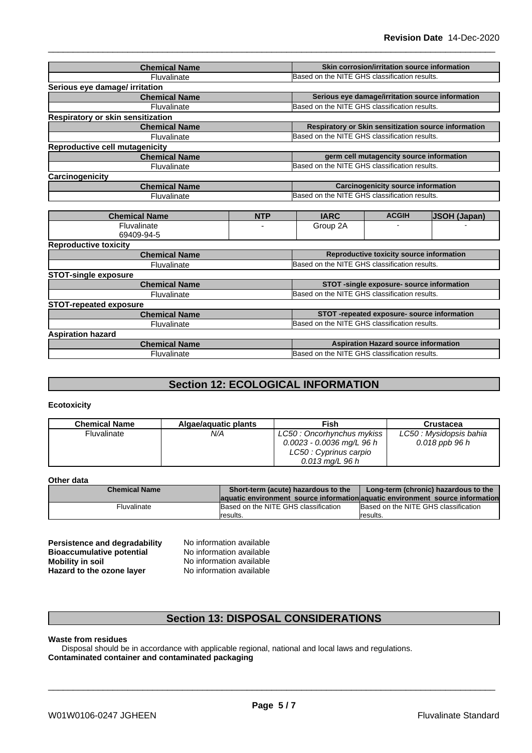| <b>Chemical Name</b>                  | Skin corrosion/irritation source information         |
|---------------------------------------|------------------------------------------------------|
| Fluvalinate                           | Based on the NITE GHS classification results.        |
| Serious eye damage/ irritation        |                                                      |
| <b>Chemical Name</b>                  | Serious eye damage/irritation source information     |
| Fluvalinate                           | Based on the NITE GHS classification results.        |
| Respiratory or skin sensitization     |                                                      |
| <b>Chemical Name</b>                  | Respiratory or Skin sensitization source information |
| Fluvalinate                           | Based on the NITE GHS classification results.        |
| <b>Reproductive cell mutagenicity</b> |                                                      |
| <b>Chemical Name</b>                  | germ cell mutagencity source information             |
| Fluvalinate                           | Based on the NITE GHS classification results.        |
| Carcinogenicity                       |                                                      |
| <b>Chemical Name</b>                  | <b>Carcinogenicity source information</b>            |
| Fluvalinate                           | Based on the NITE GHS classification results.        |
|                                       |                                                      |

| <b>Chemical Name</b>          | <b>NTP</b> | <b>IARC</b>                                   | <b>ACGIH</b>                                  | <b>JSOH (Japan)</b> |  |
|-------------------------------|------------|-----------------------------------------------|-----------------------------------------------|---------------------|--|
| Fluvalinate                   |            | Group 2A                                      |                                               |                     |  |
| 69409-94-5                    |            |                                               |                                               |                     |  |
| <b>Reproductive toxicity</b>  |            |                                               |                                               |                     |  |
| <b>Chemical Name</b>          |            |                                               | Reproductive toxicity source information      |                     |  |
| Fluvalinate                   |            | Based on the NITE GHS classification results. |                                               |                     |  |
| <b>STOT-single exposure</b>   |            |                                               |                                               |                     |  |
| <b>Chemical Name</b>          |            |                                               | STOT-single exposure- source information      |                     |  |
| <b>Fluvalinate</b>            |            |                                               | Based on the NITE GHS classification results. |                     |  |
| <b>STOT-repeated exposure</b> |            |                                               |                                               |                     |  |
| <b>Chemical Name</b>          |            |                                               | STOT-repeated exposure- source information    |                     |  |
| Fluvalinate                   |            | Based on the NITE GHS classification results. |                                               |                     |  |
| <b>Aspiration hazard</b>      |            |                                               |                                               |                     |  |
| <b>Chemical Name</b>          |            |                                               | <b>Aspiration Hazard source information</b>   |                     |  |
| Fluvalinate                   |            | Based on the NITE GHS classification results. |                                               |                     |  |

# **Section 12: ECOLOGICAL INFORMATION**

### **Ecotoxicity**

| <b>Chemical Name</b> | Algae/aquatic plants | Fish                        | Crustacea               |
|----------------------|----------------------|-----------------------------|-------------------------|
| Fluvalinate          | N/A                  | LC50: Oncorhynchus mykiss   | LC50 : Mysidopsis bahia |
|                      |                      | $0.0023 - 0.0036$ mg/L 96 h | 0.018 ppb 96 h          |
|                      |                      | LC50 : Cyprinus carpio      |                         |
|                      |                      | $0.013$ ma/L 96 h           |                         |

### **Other data**

| ----------- |                         |                                                                               |                                      |  |
|-------------|-------------------------|-------------------------------------------------------------------------------|--------------------------------------|--|
|             | <b>Chemical Name</b>    | Short-term (acute) hazardous to the                                           | Long-term (chronic) hazardous to the |  |
|             |                         | aquatic environment source information aquatic environment source information |                                      |  |
|             | <sup>=</sup> luvalinate | Based on the NITE GHS classification                                          | Based on the NITE GHS classification |  |
|             |                         | <i>I</i> results.                                                             | Iresults.                            |  |

**Persistence and degradability** No information available<br>**Bioaccumulative potential** No information available **Bioaccumulative potential<br>Mobility in soil Hazard** to the ozone layer

**No information available**<br>**No information available** 

# **Section 13: DISPOSAL CONSIDERATIONS**

### **Waste from residues**

Disposal should be in accordance with applicable regional, national and local laws and regulations. **Contaminated container and contaminated packaging**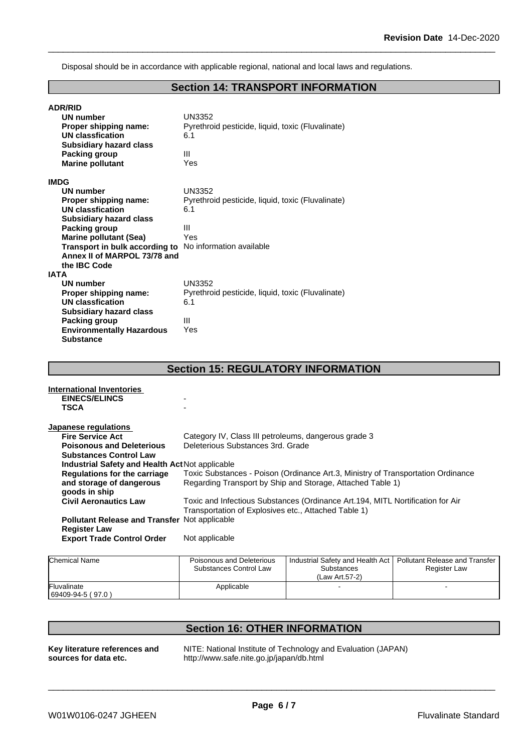Disposal should be in accordance with applicable regional, national and local laws and regulations.

# **Section 14: TRANSPORT INFORMATION**

| <b>ADR/RID</b><br>UN number<br>Proper shipping name:<br>UN classfication<br><b>Subsidiary hazard class</b><br>Packing group<br><b>Marine pollutant</b> | UN3352<br>Pyrethroid pesticide, liquid, toxic (Fluvalinate)<br>6.1<br>Ш<br>Yes |
|--------------------------------------------------------------------------------------------------------------------------------------------------------|--------------------------------------------------------------------------------|
| <b>IMDG</b>                                                                                                                                            |                                                                                |
| UN number                                                                                                                                              | UN3352                                                                         |
| Proper shipping name:                                                                                                                                  | Pyrethroid pesticide, liquid, toxic (Fluvalinate)                              |
| <b>UN classfication</b>                                                                                                                                | 6.1                                                                            |
| <b>Subsidiary hazard class</b>                                                                                                                         |                                                                                |
| <b>Packing group</b>                                                                                                                                   | Ш                                                                              |
| <b>Marine pollutant (Sea)</b>                                                                                                                          | Yes                                                                            |
| Transport in bulk according to No information available                                                                                                |                                                                                |
| Annex II of MARPOL 73/78 and                                                                                                                           |                                                                                |
| the IBC Code                                                                                                                                           |                                                                                |
| <b>IATA</b>                                                                                                                                            |                                                                                |
| <b>UN number</b>                                                                                                                                       | <b>UN3352</b>                                                                  |
| Proper shipping name:                                                                                                                                  | Pyrethroid pesticide, liquid, toxic (Fluvalinate)                              |
| <b>UN classfication</b>                                                                                                                                | 6.1                                                                            |
| <b>Subsidiary hazard class</b>                                                                                                                         |                                                                                |
| Packing group                                                                                                                                          | Ш                                                                              |
| <b>Environmentally Hazardous</b>                                                                                                                       | Yes                                                                            |
| <b>Substance</b>                                                                                                                                       |                                                                                |

| <b>Section 15: REGULATORY INFORMATION</b>                                                                               |                                                      |                                                                                |  |  |
|-------------------------------------------------------------------------------------------------------------------------|------------------------------------------------------|--------------------------------------------------------------------------------|--|--|
| <b>International Inventories</b>                                                                                        |                                                      |                                                                                |  |  |
| <b>EINECS/ELINCS</b>                                                                                                    | $\overline{\phantom{0}}$                             |                                                                                |  |  |
| TSCA                                                                                                                    |                                                      |                                                                                |  |  |
| Japanese regulations                                                                                                    |                                                      |                                                                                |  |  |
| <b>Fire Service Act</b>                                                                                                 | Category IV, Class III petroleums, dangerous grade 3 |                                                                                |  |  |
| <b>Poisonous and Deleterious</b>                                                                                        | Deleterious Substances 3rd. Grade                    |                                                                                |  |  |
| <b>Substances Control Law</b>                                                                                           |                                                      |                                                                                |  |  |
| <b>Industrial Safety and Health Act Not applicable</b>                                                                  |                                                      |                                                                                |  |  |
| Toxic Substances - Poison (Ordinance Art.3, Ministry of Transportation Ordinance<br><b>Regulations for the carriage</b> |                                                      |                                                                                |  |  |
| and storage of dangerous                                                                                                |                                                      | Regarding Transport by Ship and Storage, Attached Table 1)                     |  |  |
| goods in ship                                                                                                           |                                                      |                                                                                |  |  |
| <b>Civil Aeronautics Law</b>                                                                                            |                                                      | Toxic and Infectious Substances (Ordinance Art.194, MITL Nortification for Air |  |  |
|                                                                                                                         | Transportation of Explosives etc., Attached Table 1) |                                                                                |  |  |
| <b>Pollutant Release and Transfer Not applicable</b>                                                                    |                                                      |                                                                                |  |  |
| <b>Register Law</b>                                                                                                     |                                                      |                                                                                |  |  |
| <b>Export Trade Control Order</b>                                                                                       | Not applicable                                       |                                                                                |  |  |
|                                                                                                                         |                                                      |                                                                                |  |  |
| <b>Chemical Name</b>                                                                                                    | Poisonous and Deleterious                            | Industrial Safety and Health Act   Pollutant Release and Transfer              |  |  |

| <b>IChemical Name</b>             | Poisonous and Deleterious<br><b>Substances Control Law</b> | <b>Industrial Safety and Health Act I</b><br><b>Substances</b><br>(Law Art.57-2) | Pollutant Release and Transfer<br><b>Register Law</b> |  |
|-----------------------------------|------------------------------------------------------------|----------------------------------------------------------------------------------|-------------------------------------------------------|--|
| Fluvalinate<br>$69409-94-5(97.0)$ | Applicable                                                 |                                                                                  |                                                       |  |

| <b>Section 16: OTHER INFORMATION</b> |                                                               |  |
|--------------------------------------|---------------------------------------------------------------|--|
| Key literature references and        | NITE: National Institute of Technology and Evaluation (JAPAN) |  |
| sources for data etc.                | http://www.safe.nite.go.jp/japan/db.html                      |  |